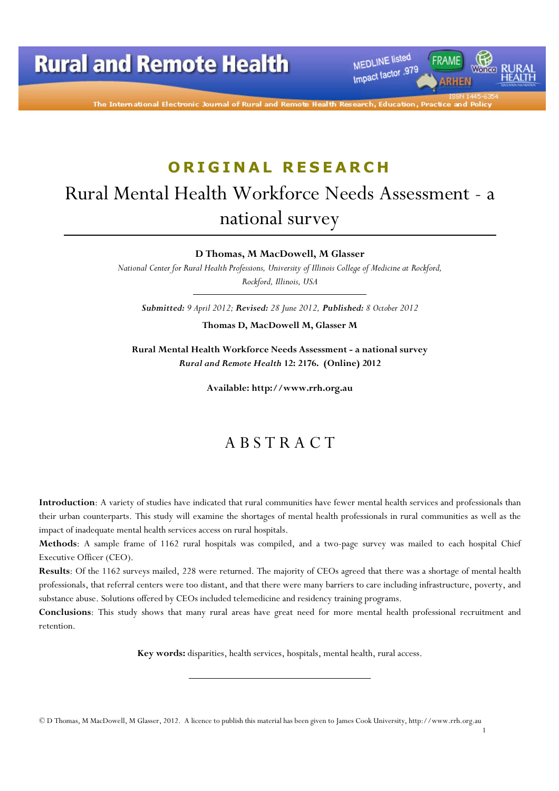MEDLINE listed Impact factor .979

The International Electronic Journal of Rural and Remote Health

## ORIGINAL RESEARCH

# Rural Mental Health Workforce Needs Assessment - a national survey

### D Thomas, M MacDowell, M Glasser

National Center for Rural Health Professions, University of Illinois College of Medicine at Rockford, Rockford, Illinois, USA

Submitted: 9 April 2012; Revised: 28 June 2012, Published: 8 October 2012

Thomas D, MacDowell M, Glasser M

Rural Mental Health Workforce Needs Assessment - a national survey Rural and Remote Health 12: 2176. (Online) 2012

Available: http://www.rrh.org.au

## A B S T R A C T

Introduction: A variety of studies have indicated that rural communities have fewer mental health services and professionals than their urban counterparts. This study will examine the shortages of mental health professionals in rural communities as well as the impact of inadequate mental health services access on rural hospitals.

Methods: A sample frame of 1162 rural hospitals was compiled, and a two-page survey was mailed to each hospital Chief Executive Officer (CEO).

Results: Of the 1162 surveys mailed, 228 were returned. The majority of CEOs agreed that there was a shortage of mental health professionals, that referral centers were too distant, and that there were many barriers to care including infrastructure, poverty, and substance abuse. Solutions offered by CEOs included telemedicine and residency training programs.

Conclusions: This study shows that many rural areas have great need for more mental health professional recruitment and retention.

Key words: disparities, health services, hospitals, mental health, rural access.

<sup>©</sup> D Thomas, M MacDowell, M Glasser, 2012. A licence to publish this material has been given to James Cook University, http://www.rrh.org.au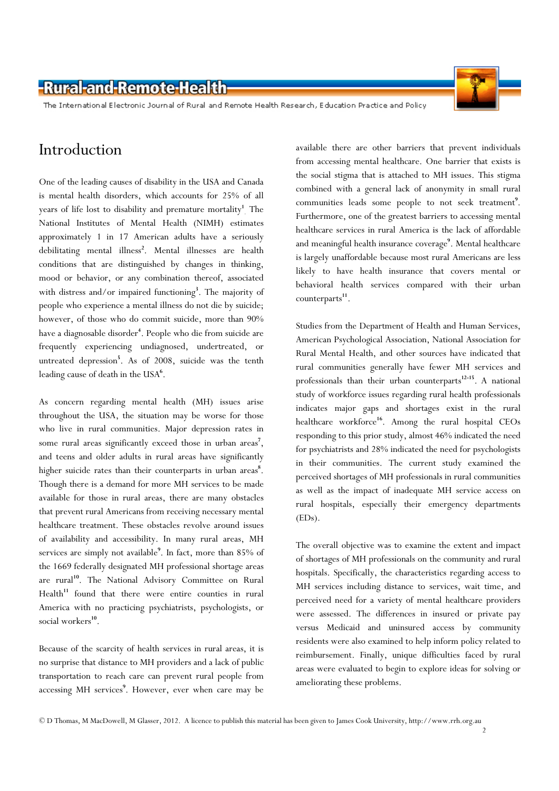The International Electronic Journal of Rural and Remote Health Research, Education Practice and Policy

## Introduction

One of the leading causes of disability in the USA and Canada is mental health disorders, which accounts for 25% of all years of life lost to disability and premature mortality<sup>1</sup>. The National Institutes of Mental Health (NIMH) estimates approximately 1 in 17 American adults have a seriously debilitating mental illness<sup>2</sup>. Mental illnesses are health conditions that are distinguished by changes in thinking, mood or behavior, or any combination thereof, associated with distress and/or impaired functioning<sup>3</sup>. The majority of people who experience a mental illness do not die by suicide; however, of those who do commit suicide, more than 90% have a diagnosable disorder<sup>4</sup>. People who die from suicide are frequently experiencing undiagnosed, undertreated, or untreated depression<sup>5</sup>. As of 2008, suicide was the tenth leading cause of death in the USA<sup>6</sup>.

As concern regarding mental health (MH) issues arise throughout the USA, the situation may be worse for those who live in rural communities. Major depression rates in some rural areas significantly exceed those in urban areas<sup>7</sup>, and teens and older adults in rural areas have significantly higher suicide rates than their counterparts in urban areas<sup>8</sup>. Though there is a demand for more MH services to be made available for those in rural areas, there are many obstacles that prevent rural Americans from receiving necessary mental healthcare treatment. These obstacles revolve around issues of availability and accessibility. In many rural areas, MH services are simply not available<sup>9</sup>. In fact, more than 85% of the 1669 federally designated MH professional shortage areas are rural<sup>10</sup>. The National Advisory Committee on Rural Health $11$  found that there were entire counties in rural America with no practicing psychiatrists, psychologists, or social workers<sup>10</sup>.

Because of the scarcity of health services in rural areas, it is no surprise that distance to MH providers and a lack of public transportation to reach care can prevent rural people from accessing MH services<sup>9</sup>. However, ever when care may be

available there are other barriers that prevent individuals from accessing mental healthcare. One barrier that exists is the social stigma that is attached to MH issues. This stigma combined with a general lack of anonymity in small rural communities leads some people to not seek treatment<sup>9</sup>. Furthermore, one of the greatest barriers to accessing mental healthcare services in rural America is the lack of affordable and meaningful health insurance coverage<sup>9</sup>. Mental healthcare is largely unaffordable because most rural Americans are less likely to have health insurance that covers mental or behavioral health services compared with their urban counterparts<sup>11</sup>.

Studies from the Department of Health and Human Services, American Psychological Association, National Association for Rural Mental Health, and other sources have indicated that rural communities generally have fewer MH services and professionals than their urban counterparts<sup>12-15</sup>. A national study of workforce issues regarding rural health professionals indicates major gaps and shortages exist in the rural healthcare workforce<sup>16</sup>. Among the rural hospital CEOs responding to this prior study, almost 46% indicated the need for psychiatrists and 28% indicated the need for psychologists in their communities. The current study examined the perceived shortages of MH professionals in rural communities as well as the impact of inadequate MH service access on rural hospitals, especially their emergency departments (EDs).

The overall objective was to examine the extent and impact of shortages of MH professionals on the community and rural hospitals. Specifically, the characteristics regarding access to MH services including distance to services, wait time, and perceived need for a variety of mental healthcare providers were assessed. The differences in insured or private pay versus Medicaid and uninsured access by community residents were also examined to help inform policy related to reimbursement. Finally, unique difficulties faced by rural areas were evaluated to begin to explore ideas for solving or ameliorating these problems.

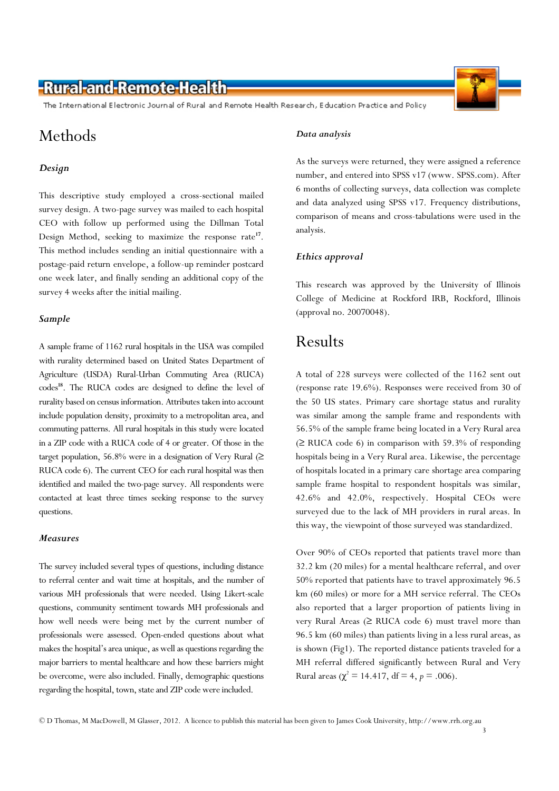The International Electronic Journal of Rural and Remote Health Research, Education Practice and Policy

## Methods

### Design

This descriptive study employed a cross-sectional mailed survey design. A two-page survey was mailed to each hospital CEO with follow up performed using the Dillman Total Design Method, seeking to maximize the response rate<sup>17</sup>. This method includes sending an initial questionnaire with a postage-paid return envelope, a follow-up reminder postcard one week later, and finally sending an additional copy of the survey 4 weeks after the initial mailing.

### Sample

A sample frame of 1162 rural hospitals in the USA was compiled with rurality determined based on United States Department of Agriculture (USDA) Rural-Urban Commuting Area (RUCA) codes<sup>18</sup>. The RUCA codes are designed to define the level of rurality based on census information. Attributes taken into account include population density, proximity to a metropolitan area, and commuting patterns. All rural hospitals in this study were located in a ZIP code with a RUCA code of 4 or greater. Of those in the target population, 56.8% were in a designation of Very Rural  $(≥$ RUCA code 6). The current CEO for each rural hospital was then identified and mailed the two-page survey. All respondents were contacted at least three times seeking response to the survey questions.

### Measures

The survey included several types of questions, including distance to referral center and wait time at hospitals, and the number of various MH professionals that were needed. Using Likert-scale questions, community sentiment towards MH professionals and how well needs were being met by the current number of professionals were assessed. Open-ended questions about what makes the hospital's area unique, as well as questions regarding the major barriers to mental healthcare and how these barriers might be overcome, were also included. Finally, demographic questions regarding the hospital, town, state and ZIP code were included.

#### Data analysis

As the surveys were returned, they were assigned a reference number, and entered into SPSS v17 (www. SPSS.com). After 6 months of collecting surveys, data collection was complete and data analyzed using SPSS v17. Frequency distributions, comparison of means and cross-tabulations were used in the analysis.

### Ethics approval

This research was approved by the University of Illinois College of Medicine at Rockford IRB, Rockford, Illinois (approval no. 20070048).

### Results

A total of 228 surveys were collected of the 1162 sent out (response rate 19.6%). Responses were received from 30 of the 50 US states. Primary care shortage status and rurality was similar among the sample frame and respondents with 56.5% of the sample frame being located in a Very Rural area  $(\geq$  RUCA code 6) in comparison with 59.3% of responding hospitals being in a Very Rural area. Likewise, the percentage of hospitals located in a primary care shortage area comparing sample frame hospital to respondent hospitals was similar, 42.6% and 42.0%, respectively. Hospital CEOs were surveyed due to the lack of MH providers in rural areas. In this way, the viewpoint of those surveyed was standardized.

Over 90% of CEOs reported that patients travel more than 32.2 km (20 miles) for a mental healthcare referral, and over 50% reported that patients have to travel approximately 96.5 km (60 miles) or more for a MH service referral. The CEOs also reported that a larger proportion of patients living in very Rural Areas (≥ RUCA code 6) must travel more than 96.5 km (60 miles) than patients living in a less rural areas, as is shown (Fig1). The reported distance patients traveled for a MH referral differed significantly between Rural and Very Rural areas ( $\chi^2 = 14.417$ , df = 4, p = .006).

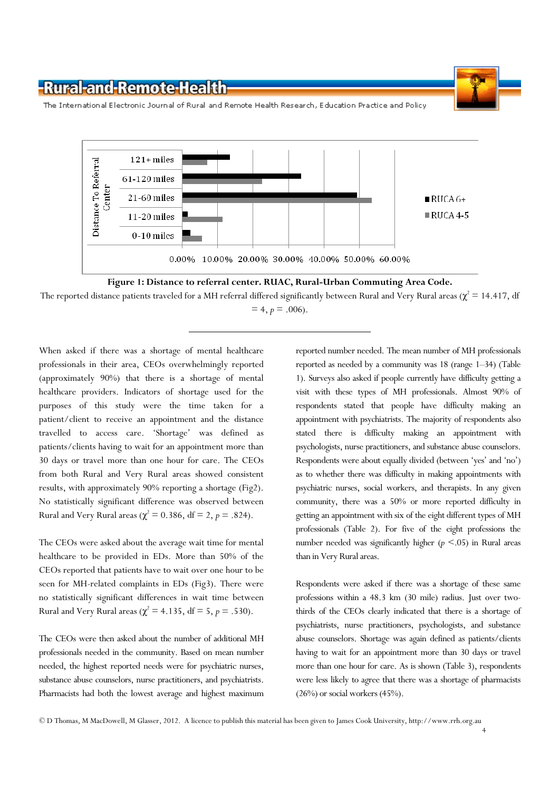

The International Electronic Journal of Rural and Remote Health Research, Education Practice and Policy



The reported distance patients traveled for a MH referral differed significantly between Rural and Very Rural areas ( $\chi^2$  = 14.417, df  $= 4, p = .006$ .

When asked if there was a shortage of mental healthcare professionals in their area, CEOs overwhelmingly reported (approximately 90%) that there is a shortage of mental healthcare providers. Indicators of shortage used for the purposes of this study were the time taken for a patient/client to receive an appointment and the distance travelled to access care. 'Shortage' was defined as patients/clients having to wait for an appointment more than 30 days or travel more than one hour for care. The CEOs from both Rural and Very Rural areas showed consistent results, with approximately 90% reporting a shortage (Fig2). No statistically significant difference was observed between Rural and Very Rural areas ( $\chi^2 = 0.386$ , df = 2, p = .824).

The CEOs were asked about the average wait time for mental healthcare to be provided in EDs. More than 50% of the CEOs reported that patients have to wait over one hour to be seen for MH-related complaints in EDs (Fig3). There were no statistically significant differences in wait time between Rural and Very Rural areas ( $\chi^2$  = 4.135, df = 5, p = .530).

The CEOs were then asked about the number of additional MH professionals needed in the community. Based on mean number needed, the highest reported needs were for psychiatric nurses, substance abuse counselors, nurse practitioners, and psychiatrists. Pharmacists had both the lowest average and highest maximum

reported number needed. The mean number of MH professionals reported as needed by a community was 18 (range 1–34) (Table 1). Surveys also asked if people currently have difficulty getting a visit with these types of MH professionals. Almost 90% of respondents stated that people have difficulty making an appointment with psychiatrists. The majority of respondents also stated there is difficulty making an appointment with psychologists, nurse practitioners, and substance abuse counselors. Respondents were about equally divided (between 'yes' and 'no') as to whether there was difficulty in making appointments with psychiatric nurses, social workers, and therapists. In any given community, there was a 50% or more reported difficulty in getting an appointment with six of the eight different types of MH professionals (Table 2). For five of the eight professions the number needed was significantly higher ( $p \le 0.05$ ) in Rural areas than in Very Rural areas.

Respondents were asked if there was a shortage of these same professions within a 48.3 km (30 mile) radius. Just over twothirds of the CEOs clearly indicated that there is a shortage of psychiatrists, nurse practitioners, psychologists, and substance abuse counselors. Shortage was again defined as patients/clients having to wait for an appointment more than 30 days or travel more than one hour for care. As is shown (Table 3), respondents were less likely to agree that there was a shortage of pharmacists  $(26\%)$  or social workers  $(45\%)$ .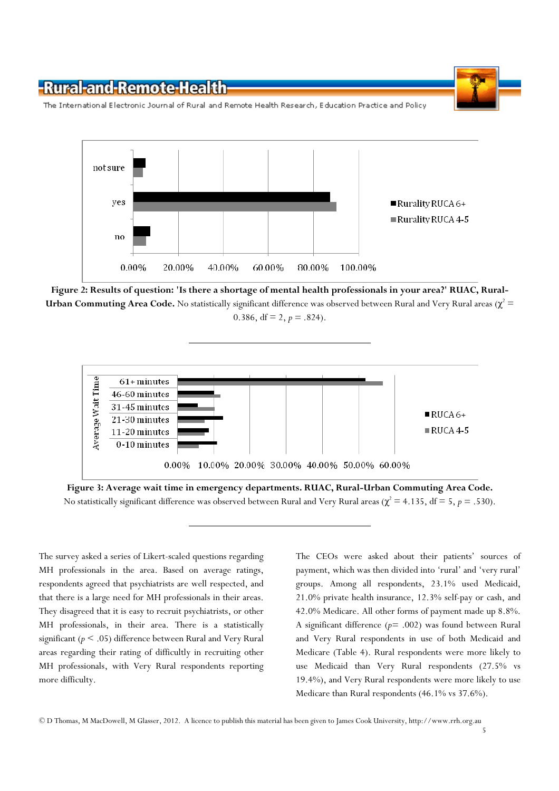

The International Electronic Journal of Rural and Remote Health Research, Education Practice and Policy



Figure 2: Results of question: 'Is there a shortage of mental health professionals in your area?' RUAC, Rural-**Urban Commuting Area Code.** No statistically significant difference was observed between Rural and Very Rural areas ( $\chi^2$  = 0.386, df = 2,  $p = .824$ ).



Figure 3: Average wait time in emergency departments. RUAC, Rural-Urban Commuting Area Code. No statistically significant difference was observed between Rural and Very Rural areas ( $\chi^2$  = 4.135, df = 5, p = .530).

The survey asked a series of Likert-scaled questions regarding MH professionals in the area. Based on average ratings, respondents agreed that psychiatrists are well respected, and that there is a large need for MH professionals in their areas. They disagreed that it is easy to recruit psychiatrists, or other MH professionals, in their area. There is a statistically significant ( $p < .05$ ) difference between Rural and Very Rural areas regarding their rating of difficultly in recruiting other MH professionals, with Very Rural respondents reporting more difficulty.

The CEOs were asked about their patients' sources of payment, which was then divided into 'rural' and 'very rural' groups. Among all respondents, 23.1% used Medicaid, 21.0% private health insurance, 12.3% self-pay or cash, and 42.0% Medicare. All other forms of payment made up 8.8%. A significant difference  $(p= .002)$  was found between Rural and Very Rural respondents in use of both Medicaid and Medicare (Table 4). Rural respondents were more likely to use Medicaid than Very Rural respondents (27.5% vs 19.4%), and Very Rural respondents were more likely to use Medicare than Rural respondents (46.1% vs 37.6%).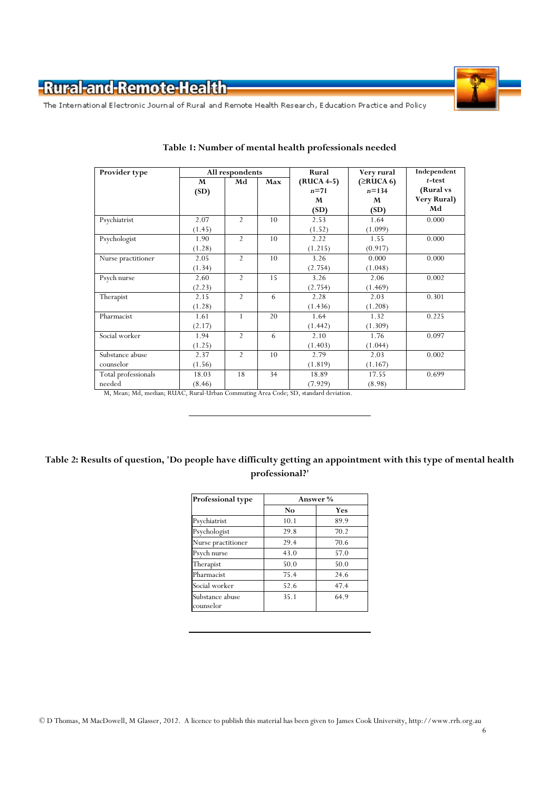

The International Electronic Journal of Rural and Remote Health Research, Education Practice and Policy

| Provider type       | All respondents |                | Rural | Very rural | Independent |             |
|---------------------|-----------------|----------------|-------|------------|-------------|-------------|
|                     | M               | Md             | Max   | (RUCA 4-5) | (≥RUCA 6)   | $t$ -test   |
|                     | (SD)            |                |       | $n=71$     | $n = 134$   | (Rural vs   |
|                     |                 |                |       | M          | M           | Very Rural) |
|                     |                 |                |       | (SD)       | (SD)        | Md          |
| Psychiatrist        | 2.07            | $\overline{2}$ | 10    | 2.53       | 1.64        | 0.000       |
|                     | (1.45)          |                |       | (1.52)     | (1.099)     |             |
| Psychologist        | 1.90            | $\overline{2}$ | 10    | 2.22       | 1.55        | 0.000       |
|                     | (1.28)          |                |       | (1.215)    | (0.917)     |             |
| Nurse practitioner  | 2.05            | $\overline{2}$ | 10    | 3.26       | 0.000       | 0.000       |
|                     | (1.34)          |                |       | (2.754)    | (1.048)     |             |
| Psych nurse         | 2.60            | $\overline{2}$ | 15    | 3.26       | 2.06        | 0.002       |
|                     | (2.23)          |                |       | (2.754)    | (1.469)     |             |
| Therapist           | 2.15            | $\overline{2}$ | 6     | 2.28       | 2.03        | 0.301       |
|                     | (1.28)          |                |       | (1.436)    | (1.208)     |             |
| Pharmacist          | 1.61            | $\mathbf{1}$   | 20    | 1.64       | 1.32        | 0.225       |
|                     | (2.17)          |                |       | (1.442)    | (1.309)     |             |
| Social worker       | 1.94            | $\overline{2}$ | 6     | 2.10       | 1.76        | 0.097       |
|                     | (1.25)          |                |       | (1.403)    | (1.044)     |             |
| Substance abuse     | 2.37            | $\overline{2}$ | 10    | 2.79       | 2.03        | 0.002       |
| counselor           | (1.56)          |                |       | (1.819)    | (1.167)     |             |
| Total professionals | 18.03           | 18             | 34    | 18.89      | 17.55       | 0.699       |
| needed              | (8.46)          |                |       | (7.929)    | (8.98)      |             |

### Table 1: Number of mental health professionals needed

M, Mean; Md, median; RUAC, Rural-Urban Commuting Area Code; SD, standard deviation.

### Table 2: Results of question, 'Do people have difficulty getting an appointment with this type of mental health professional?'

| Professional type  | Answer % |      |  |  |
|--------------------|----------|------|--|--|
|                    | No       | Yes  |  |  |
| Psychiatrist       | 10.1     | 89.9 |  |  |
| Psychologist       | 29.8     | 70.2 |  |  |
| Nurse practitioner | 29.4     | 70.6 |  |  |
| Psych nurse        | 43.0     | 57.0 |  |  |
| Therapist          | 50.0     | 50.0 |  |  |
| Pharmacist         | 75.4     | 24.6 |  |  |
| Social worker      | 52.6     | 47.4 |  |  |
| Substance abuse    | 35.1     | 64.9 |  |  |
| counselor          |          |      |  |  |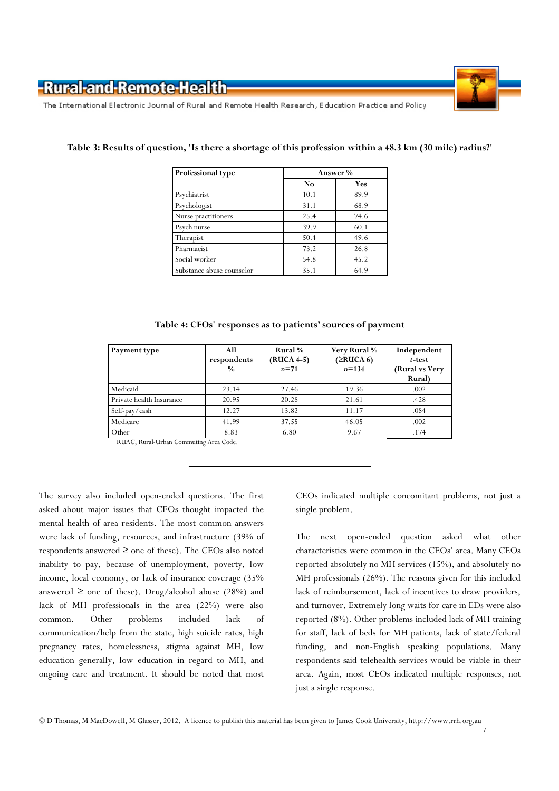The International Electronic Journal of Rural and Remote Health Research, Education Practice and Policy

| Professional type         | Answer % |      |  |
|---------------------------|----------|------|--|
|                           | No       | Yes  |  |
| Psychiatrist              | 10.1     | 89.9 |  |
| Psychologist              | 31.1     | 68.9 |  |
| Nurse practitioners       | 25.4     | 74.6 |  |
| Psych nurse               | 39.9     | 60.1 |  |
| Therapist                 | 50.4     | 49.6 |  |
| Pharmacist                | 73.2     | 26.8 |  |
| Social worker             | 54.8     | 45.2 |  |
| Substance abuse counselor | 35.1     | 64.9 |  |

### Table 3: Results of question, 'Is there a shortage of this profession within a 48.3 km (30 mile) radius?'

| Table 4: CEOs' responses as to patients' sources of payment |  |  |  |  |
|-------------------------------------------------------------|--|--|--|--|
|-------------------------------------------------------------|--|--|--|--|

| Payment type             | All<br>respondents<br>$\frac{0}{0}$ | Rural %<br>(RUCA 4-5)<br>$n=71$ | Very Rural %<br>(≥RUCA 6)<br>$n = 134$ | Independent<br>$t$ -test<br>(Rural vs Very<br>Rural) |
|--------------------------|-------------------------------------|---------------------------------|----------------------------------------|------------------------------------------------------|
| Medicaid                 | 23.14                               | 27.46                           | 19.36                                  | .002                                                 |
| Private health Insurance | 20.95                               | 20.28                           | 21.61                                  | .428                                                 |
| Self-pay/cash            | 12.27                               | 13.82                           | 11.17                                  | .084                                                 |
| Medicare                 | 41.99                               | 37.55                           | 46.05                                  | .002                                                 |
| Other                    | 8.83                                | 6.80                            | 9.67                                   | .174                                                 |

RUAC, Rural-Urban Commuting Area Code.

The survey also included open-ended questions. The first asked about major issues that CEOs thought impacted the mental health of area residents. The most common answers were lack of funding, resources, and infrastructure (39% of respondents answered ≥ one of these). The CEOs also noted inability to pay, because of unemployment, poverty, low income, local economy, or lack of insurance coverage (35% answered  $\geq$  one of these). Drug/alcohol abuse (28%) and lack of MH professionals in the area (22%) were also common. Other problems included lack of communication/help from the state, high suicide rates, high pregnancy rates, homelessness, stigma against MH, low education generally, low education in regard to MH, and ongoing care and treatment. It should be noted that most

CEOs indicated multiple concomitant problems, not just a single problem.

The next open-ended question asked what other characteristics were common in the CEOs' area. Many CEOs reported absolutely no MH services (15%), and absolutely no MH professionals (26%). The reasons given for this included lack of reimbursement, lack of incentives to draw providers, and turnover. Extremely long waits for care in EDs were also reported (8%). Other problems included lack of MH training for staff, lack of beds for MH patients, lack of state/federal funding, and non-English speaking populations. Many respondents said telehealth services would be viable in their area. Again, most CEOs indicated multiple responses, not just a single response.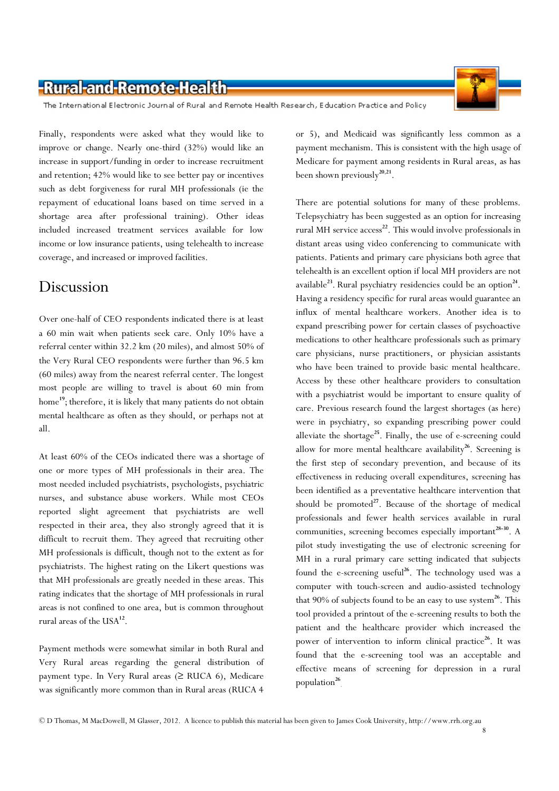

The International Electronic Journal of Rural and Remote Health Research, Education Practice and Policy

Finally, respondents were asked what they would like to improve or change. Nearly one-third (32%) would like an increase in support/funding in order to increase recruitment and retention; 42% would like to see better pay or incentives such as debt forgiveness for rural MH professionals (ie the repayment of educational loans based on time served in a shortage area after professional training). Other ideas included increased treatment services available for low income or low insurance patients, using telehealth to increase coverage, and increased or improved facilities.

### Discussion

Over one-half of CEO respondents indicated there is at least a 60 min wait when patients seek care. Only 10% have a referral center within 32.2 km (20 miles), and almost 50% of the Very Rural CEO respondents were further than 96.5 km (60 miles) away from the nearest referral center. The longest most people are willing to travel is about 60 min from home<sup>19</sup>; therefore, it is likely that many patients do not obtain mental healthcare as often as they should, or perhaps not at all.

At least 60% of the CEOs indicated there was a shortage of one or more types of MH professionals in their area. The most needed included psychiatrists, psychologists, psychiatric nurses, and substance abuse workers. While most CEOs reported slight agreement that psychiatrists are well respected in their area, they also strongly agreed that it is difficult to recruit them. They agreed that recruiting other MH professionals is difficult, though not to the extent as for psychiatrists. The highest rating on the Likert questions was that MH professionals are greatly needed in these areas. This rating indicates that the shortage of MH professionals in rural areas is not confined to one area, but is common throughout rural areas of the USA<sup>12</sup>.

Payment methods were somewhat similar in both Rural and Very Rural areas regarding the general distribution of payment type. In Very Rural areas ( $\geq$  RUCA 6), Medicare was significantly more common than in Rural areas (RUCA 4

or 5), and Medicaid was significantly less common as a payment mechanism. This is consistent with the high usage of Medicare for payment among residents in Rural areas, as has been shown previously<sup>20,21</sup>.

There are potential solutions for many of these problems. Telepsychiatry has been suggested as an option for increasing rural MH service access<sup>22</sup>. This would involve professionals in distant areas using video conferencing to communicate with patients. Patients and primary care physicians both agree that telehealth is an excellent option if local MH providers are not available<sup>23</sup>. Rural psychiatry residencies could be an option<sup>24</sup>. Having a residency specific for rural areas would guarantee an influx of mental healthcare workers. Another idea is to expand prescribing power for certain classes of psychoactive medications to other healthcare professionals such as primary care physicians, nurse practitioners, or physician assistants who have been trained to provide basic mental healthcare. Access by these other healthcare providers to consultation with a psychiatrist would be important to ensure quality of care. Previous research found the largest shortages (as here) were in psychiatry, so expanding prescribing power could alleviate the shortage<sup>25</sup>. Finally, the use of e-screening could allow for more mental healthcare availability<sup>26</sup>. Screening is the first step of secondary prevention, and because of its effectiveness in reducing overall expenditures, screening has been identified as a preventative healthcare intervention that should be promoted $27$ . Because of the shortage of medical professionals and fewer health services available in rural communities, screening becomes especially important<sup>28-30</sup>. A pilot study investigating the use of electronic screening for MH in a rural primary care setting indicated that subjects found the e-screening useful<sup>26</sup>. The technology used was a computer with touch-screen and audio-assisted technology that 90% of subjects found to be an easy to use system<sup>26</sup>. This tool provided a printout of the e-screening results to both the patient and the healthcare provider which increased the power of intervention to inform clinical practice<sup>26</sup>. It was found that the e-screening tool was an acceptable and effective means of screening for depression in a rural population<sup>26</sup>.

<sup>©</sup> D Thomas, M MacDowell, M Glasser, 2012. A licence to publish this material has been given to James Cook University, http://www.rrh.org.au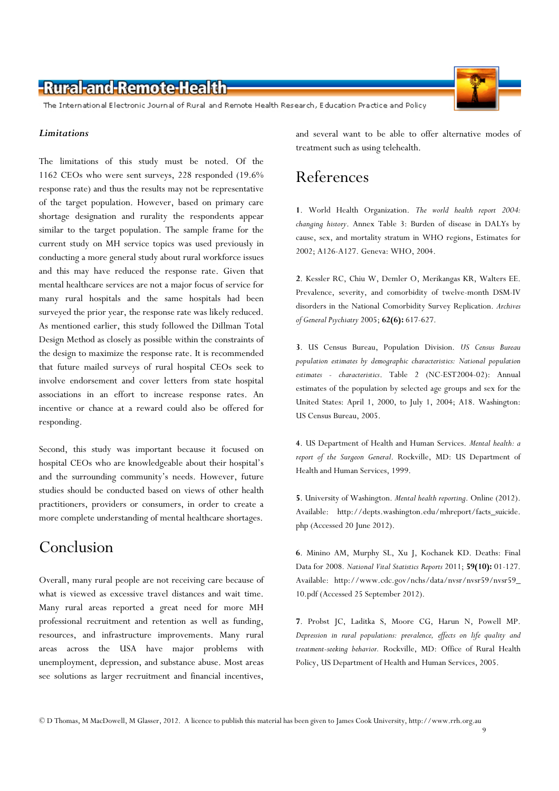

The International Electronic Journal of Rural and Remote Health Research, Education Practice and Policy

### **Limitations**

The limitations of this study must be noted. Of the 1162 CEOs who were sent surveys, 228 responded (19.6% response rate) and thus the results may not be representative of the target population. However, based on primary care shortage designation and rurality the respondents appear similar to the target population. The sample frame for the current study on MH service topics was used previously in conducting a more general study about rural workforce issues and this may have reduced the response rate. Given that mental healthcare services are not a major focus of service for many rural hospitals and the same hospitals had been surveyed the prior year, the response rate was likely reduced. As mentioned earlier, this study followed the Dillman Total Design Method as closely as possible within the constraints of the design to maximize the response rate. It is recommended that future mailed surveys of rural hospital CEOs seek to involve endorsement and cover letters from state hospital associations in an effort to increase response rates. An incentive or chance at a reward could also be offered for responding.

Second, this study was important because it focused on hospital CEOs who are knowledgeable about their hospital's and the surrounding community's needs. However, future studies should be conducted based on views of other health practitioners, providers or consumers, in order to create a more complete understanding of mental healthcare shortages.

## Conclusion

Overall, many rural people are not receiving care because of what is viewed as excessive travel distances and wait time. Many rural areas reported a great need for more MH professional recruitment and retention as well as funding, resources, and infrastructure improvements. Many rural areas across the USA have major problems with unemployment, depression, and substance abuse. Most areas see solutions as larger recruitment and financial incentives,

and several want to be able to offer alternative modes of treatment such as using telehealth.

## References

1. World Health Organization. The world health report 2004: changing history. Annex Table 3: Burden of disease in DALYs by cause, sex, and mortality stratum in WHO regions, Estimates for 2002; A126-A127. Geneva: WHO, 2004.

2. Kessler RC, Chiu W, Demler O, Merikangas KR, Walters EE. Prevalence, severity, and comorbidity of twelve-month DSM-IV disorders in the National Comorbidity Survey Replication. Archives of General Psychiatry 2005; 62(6): 617-627.

3. US Census Bureau, Population Division. US Census Bureau population estimates by demographic characteristics: National population estimates - characteristics. Table 2 (NC-EST2004-02): Annual estimates of the population by selected age groups and sex for the United States: April 1, 2000, to July 1, 2004; A18. Washington: US Census Bureau, 2005.

4. US Department of Health and Human Services. Mental health: a report of the Surgeon General. Rockville, MD: US Department of Health and Human Services, 1999.

5. University of Washington. Mental health reporting. Online (2012). Available: http://depts.washington.edu/mhreport/facts\_suicide. php (Accessed 20 June 2012).

6. Minino AM, Murphy SL, Xu J, Kochanek KD. Deaths: Final Data for 2008. National Vital Statistics Reports 2011; 59(10): 01-127. Available: http://www.cdc.gov/nchs/data/nvsr/nvsr59/nvsr59\_ 10.pdf (Accessed 25 September 2012).

7. Probst JC, Laditka S, Moore CG, Harun N, Powell MP. Depression in rural populations: prevalence, effects on life quality and treatment-seeking behavior. Rockville, MD: Office of Rural Health Policy, US Department of Health and Human Services, 2005.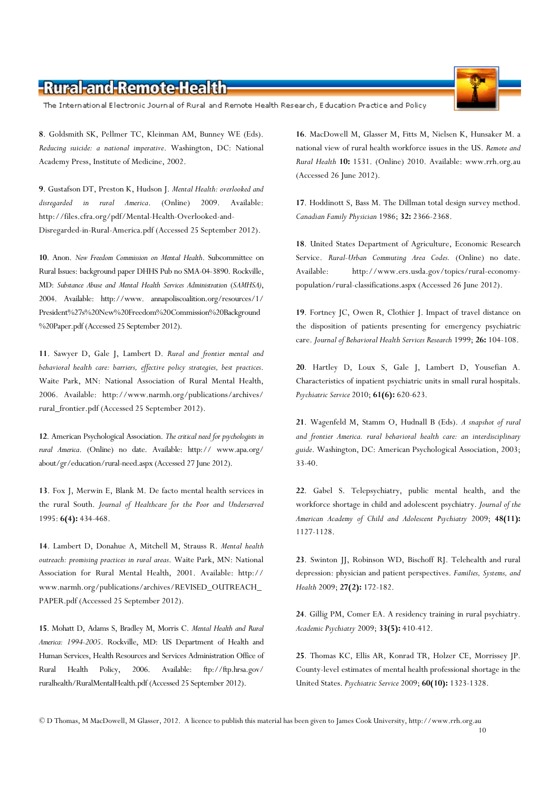The International Electronic Journal of Rural and Remote Health Research, Education Practice and Policy

8. Goldsmith SK, Pellmer TC, Kleinman AM, Bunney WE (Eds). Reducing suicide: a national imperative. Washington, DC: National Academy Press, Institute of Medicine, 2002.

9. Gustafson DT, Preston K, Hudson J. Mental Health: overlooked and disregarded in rural America. (Online) 2009. Available: http://files.cfra.org/pdf/Mental-Health-Overlooked-and-Disregarded-in-Rural-America.pdf (Accessed 25 September 2012).

10. Anon. New Freedom Commission on Mental Health. Subcommittee on Rural Issues: background paper DHHS Pub no SMA-04-3890. Rockville, MD: Substance Abuse and Mental Health Services Administration (SAMHSA), 2004. Available: http://www. annapoliscoalition.org/resources/1/ President%27s%20New%20Freedom%20Commission%20Background %20Paper.pdf (Accessed 25 September 2012).

11. Sawyer D, Gale J, Lambert D. Rural and frontier mental and behavioral health care: barriers, effective policy strategies, best practices. Waite Park, MN: National Association of Rural Mental Health, 2006. Available: http://www.narmh.org/publications/archives/ rural\_frontier.pdf (Accessed 25 September 2012).

12. American Psychological Association. The critical need for psychologists in rural America. (Online) no date. Available: http:// www.apa.org/ about/gr/education/rural-need.aspx (Accessed 27 June 2012).

13. Fox J, Merwin E, Blank M. De facto mental health services in the rural South. Journal of Healthcare for the Poor and Underserved 1995: 6(4): 434-468.

14. Lambert D, Donahue A, Mitchell M, Strauss R. Mental health outreach: promising practices in rural areas. Waite Park, MN: National Association for Rural Mental Health, 2001. Available: http:// www.narmh.org/publications/archives/REVISED\_OUTREACH\_ PAPER.pdf (Accessed 25 September 2012).

15. Mohatt D, Adams S, Bradley M, Morris C. Mental Health and Rural America: 1994-2005. Rockville, MD: US Department of Health and Human Services, Health Resources and Services Administration Office of Rural Health Policy, 2006. Available: ftp://ftp.hrsa.gov/ ruralhealth/RuralMentalHealth.pdf (Accessed 25 September 2012).

16. MacDowell M, Glasser M, Fitts M, Nielsen K, Hunsaker M. a national view of rural health workforce issues in the US. Remote and Rural Health 10: 1531. (Online) 2010. Available: www.rrh.org.au (Accessed 26 June 2012).

17. Hoddinott S, Bass M. The Dillman total design survey method. Canadian Family Physician 1986; 32: 2366-2368.

18. United States Department of Agriculture, Economic Research Service. Rural-Urban Commuting Area Codes. (Online) no date. Available: http://www.ers.usda.gov/topics/rural-economypopulation/rural-classifications.aspx (Accessed 26 June 2012).

19. Fortney JC, Owen R, Clothier J. Impact of travel distance on the disposition of patients presenting for emergency psychiatric care. Journal of Behavioral Health Services Research 1999; 26: 104-108.

20. Hartley D, Loux S, Gale J, Lambert D, Yousefian A. Characteristics of inpatient psychiatric units in small rural hospitals. Psychiatric Service 2010; 61(6): 620-623.

21. Wagenfeld M, Stamm O, Hudnall B (Eds). A snapshot of rural and frontier America. rural behavioral health care: an interdisciplinary guide. Washington, DC: American Psychological Association, 2003; 33-40.

22. Gabel S. Telepsychiatry, public mental health, and the workforce shortage in child and adolescent psychiatry. Journal of the American Academy of Child and Adolescent Psychiatry 2009; 48(11): 1127-1128.

23. Swinton JJ, Robinson WD, Bischoff RJ. Telehealth and rural depression: physician and patient perspectives. Families, Systems, and Health 2009; 27(2): 172-182.

24. Gillig PM, Comer EA. A residency training in rural psychiatry. Academic Psychiatry 2009; 33(5): 410-412.

25. Thomas KC, Ellis AR, Konrad TR, Holzer CE, Morrissey JP. County-level estimates of mental health professional shortage in the United States. Psychiatric Service 2009; 60(10): 1323-1328.

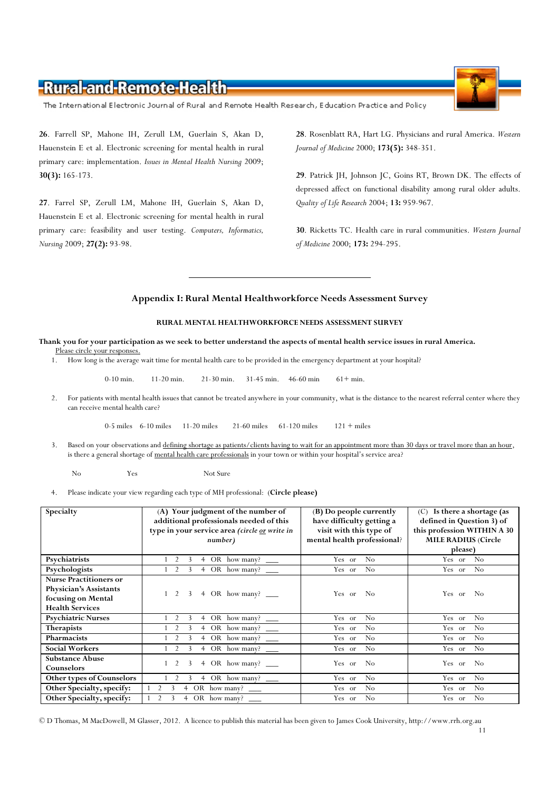The International Electronic Journal of Rural and Remote Health Research, Education Practice and Policy

26. Farrell SP, Mahone IH, Zerull LM, Guerlain S, Akan D, Hauenstein E et al. Electronic screening for mental health in rural primary care: implementation. Issues in Mental Health Nursing 2009; 30(3): 165-173.

27. Farrel SP, Zerull LM, Mahone IH, Guerlain S, Akan D, Hauenstein E et al. Electronic screening for mental health in rural primary care: feasibility and user testing. Computers, Informatics, Nursing 2009; 27(2): 93-98.

28. Rosenblatt RA, Hart LG. Physicians and rural America. Western Journal of Medicine 2000; 173(5): 348-351.

29. Patrick JH, Johnson JC, Goins RT, Brown DK. The effects of depressed affect on functional disability among rural older adults. Quality of Life Research 2004; 13: 959-967.

30. Ricketts TC. Health care in rural communities. Western Journal of Medicine 2000; 173: 294-295.

#### Appendix I: Rural Mental Healthworkforce Needs Assessment Survey

#### RURAL MENTAL HEALTHWORKFORCE NEEDS ASSESSMENT SURVEY

Thank you for your participation as we seek to better understand the aspects of mental health service issues in rural America. Please circle your responses.

1. How long is the average wait time for mental health care to be provided in the emergency department at your hospital?

0-10 min. 11-20 min. 21-30 min. 31-45 min. 46-60 min 61+ min.

2. For patients with mental health issues that cannot be treated anywhere in your community, what is the distance to the nearest referral center where they can receive mental health care?

0-5 miles 6-10 miles 11-20 miles 21-60 miles 61-120 miles 121 + miles

3. Based on your observations and defining shortage as patients/clients having to wait for an appointment more than 30 days or travel more than an hour, is there a general shortage of mental health care professionals in your town or within your hospital's service area?

No Yes Not Sure

4. Please indicate your view regarding each type of MH professional: (Circle please)

| Specialty                     | (A) Your judgment of the number of              | (B) Do people currently     | $(C)$ Is there a shortage (as |  |
|-------------------------------|-------------------------------------------------|-----------------------------|-------------------------------|--|
|                               | additional professionals needed of this         | have difficulty getting a   | defined in Question 3) of     |  |
|                               | type in your service area (circle or write in   | visit with this type of     | this profession WITHIN A 30   |  |
|                               | number)                                         | mental health professional? | <b>MILE RADIUS (Circle</b>    |  |
|                               |                                                 |                             |                               |  |
|                               |                                                 |                             | please)                       |  |
| Psychiatrists                 | OR how many?<br>$\overline{4}$                  | N <sub>o</sub><br>Yes or    | No<br>Yes or                  |  |
| Psychologists                 | 4 OR how many?<br>2<br>3                        | N <sub>0</sub><br>Yes or    | Yes or<br>N <sub>o</sub>      |  |
| <b>Nurse Practitioners or</b> |                                                 |                             |                               |  |
| Physician's Assistants        | 2<br>3                                          | N <sub>0</sub>              | N <sub>0</sub>                |  |
| focusing on Mental            | 4 OR how many? ______                           | Yes or                      | Yes or                        |  |
| <b>Health Services</b>        |                                                 |                             |                               |  |
| <b>Psychiatric Nurses</b>     | 3<br>OR how many?<br>4                          | No<br>Yes or                | Yes or<br>No                  |  |
| <b>Therapists</b>             | OR how many?<br>$\overline{4}$                  | No<br>Yes or                | Yes or<br>N <sub>o</sub>      |  |
| <b>Pharmacists</b>            | OR how many?<br>$^{4}$                          | No<br>Yes or                | N <sub>o</sub><br>Yes or      |  |
| <b>Social Workers</b>         | OR how many?<br>$^{4}$                          | No<br>Yes or                | Yes or<br>N <sub>o</sub>      |  |
| <b>Substance Abuse</b>        | 3<br>2<br>$\overline{4}$                        | Yes or<br>N <sub>0</sub>    | Yes or<br>- No                |  |
| Counselors                    | OR how many? $\_\_$                             |                             |                               |  |
| Other types of Counselors     | 3<br>OR how many? $\_\_$<br>$\overline{4}$      | No<br>Yes or                | Yes or<br>N <sub>o</sub>      |  |
| Other Specialty, specify:     | $\mathcal{P}$<br>OR how many?<br>$\overline{4}$ | No<br>Yes or                | Yes or<br>N <sub>o</sub>      |  |
| Other Specialty, specify:     | OR how many?<br>4                               | No<br>Yes or                | Yes or<br>N <sub>0</sub>      |  |

© D Thomas, M MacDowell, M Glasser, 2012. A licence to publish this material has been given to James Cook University, http://www.rrh.org.au 11